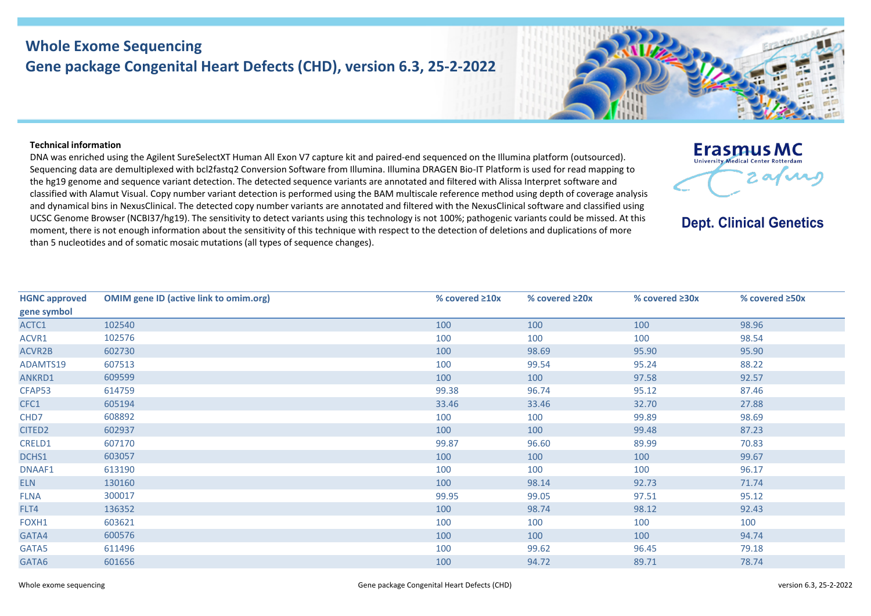## **Whole Exome Sequencing Gene package Congenital Heart Defects (CHD), version 6.3, 25-2-2022**



**Erasmus MC** University Medical Center Rotterdam

**Dept. Clinical Genetics** 

2 av ir

## **Technical information**

DNA was enriched using the Agilent SureSelectXT Human All Exon V7 capture kit and paired-end sequenced on the Illumina platform (outsourced). Sequencing data are demultiplexed with bcl2fastq2 Conversion Software from Illumina. Illumina DRAGEN Bio-IT Platform is used for read mapping to the hg19 genome and sequence variant detection. The detected sequence variants are annotated and filtered with Alissa Interpret software and classified with Alamut Visual. Copy number variant detection is performed using the BAM multiscale reference method using depth of coverage analysis and dynamical bins in NexusClinical. The detected copy number variants are annotated and filtered with the NexusClinical software and classified using UCSC Genome Browser (NCBI37/hg19). The sensitivity to detect variants using this technology is not 100%; pathogenic variants could be missed. At this moment, there is not enough information about the sensitivity of this technique with respect to the detection of deletions and duplications of more than 5 nucleotides and of somatic mosaic mutations (all types of sequence changes).

| <b>HGNC approved</b> | <b>OMIM gene ID (active link to omim.org)</b> | % covered $\geq 10x$ | % covered $\geq 20x$ | % covered ≥30x | % covered ≥50x |
|----------------------|-----------------------------------------------|----------------------|----------------------|----------------|----------------|
| gene symbol          |                                               |                      |                      |                |                |
| ACTC1                | 102540                                        | 100                  | 100                  | 100            | 98.96          |
| ACVR1                | 102576                                        | 100                  | 100                  | 100            | 98.54          |
| ACVR2B               | 602730                                        | 100                  | 98.69                | 95.90          | 95.90          |
| ADAMTS19             | 607513                                        | 100                  | 99.54                | 95.24          | 88.22          |
| ANKRD1               | 609599                                        | 100                  | 100                  | 97.58          | 92.57          |
| CFAP53               | 614759                                        | 99.38                | 96.74                | 95.12          | 87.46          |
| CFC1                 | 605194                                        | 33.46                | 33.46                | 32.70          | 27.88          |
| CHD7                 | 608892                                        | 100                  | 100                  | 99.89          | 98.69          |
| CITED <sub>2</sub>   | 602937                                        | 100                  | 100                  | 99.48          | 87.23          |
| CRELD1               | 607170                                        | 99.87                | 96.60                | 89.99          | 70.83          |
| DCHS1                | 603057                                        | 100                  | 100                  | 100            | 99.67          |
| DNAAF1               | 613190                                        | 100                  | 100                  | 100            | 96.17          |
| <b>ELN</b>           | 130160                                        | 100                  | 98.14                | 92.73          | 71.74          |
| <b>FLNA</b>          | 300017                                        | 99.95                | 99.05                | 97.51          | 95.12          |
| FLT4                 | 136352                                        | 100                  | 98.74                | 98.12          | 92.43          |
| FOXH1                | 603621                                        | 100                  | 100                  | 100            | 100            |
| GATA4                | 600576                                        | 100                  | 100                  | 100            | 94.74          |
| GATA5                | 611496                                        | 100                  | 99.62                | 96.45          | 79.18          |
| GATA6                | 601656                                        | 100                  | 94.72                | 89.71          | 78.74          |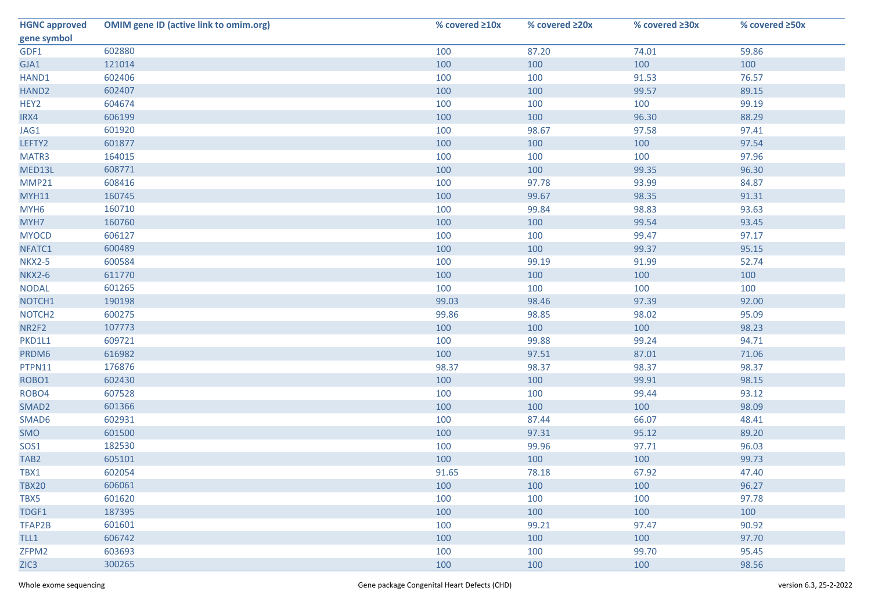| <b>HGNC approved</b> | <b>OMIM gene ID (active link to omim.org)</b> | % covered $\geq 10x$ | % covered ≥20x | % covered ≥30x | % covered ≥50x |
|----------------------|-----------------------------------------------|----------------------|----------------|----------------|----------------|
| gene symbol          |                                               |                      |                |                |                |
| GDF1                 | 602880                                        | 100                  | 87.20          | 74.01          | 59.86          |
| GJA1                 | 121014                                        | 100                  | 100            | 100            | 100            |
| HAND1                | 602406                                        | 100                  | 100            | 91.53          | 76.57          |
| HAND <sub>2</sub>    | 602407                                        | 100                  | 100            | 99.57          | 89.15          |
| HEY2                 | 604674                                        | 100                  | 100            | 100            | 99.19          |
| IRX4                 | 606199                                        | 100                  | 100            | 96.30          | 88.29          |
| JAG1                 | 601920                                        | 100                  | 98.67          | 97.58          | 97.41          |
| LEFTY2               | 601877                                        | 100                  | 100            | 100            | 97.54          |
| MATR3                | 164015                                        | 100                  | 100            | 100            | 97.96          |
| MED13L               | 608771                                        | 100                  | 100            | 99.35          | 96.30          |
| MMP21                | 608416                                        | 100                  | 97.78          | 93.99          | 84.87          |
| <b>MYH11</b>         | 160745                                        | 100                  | 99.67          | 98.35          | 91.31          |
| MYH <sub>6</sub>     | 160710                                        | 100                  | 99.84          | 98.83          | 93.63          |
| MYH7                 | 160760                                        | 100                  | 100            | 99.54          | 93.45          |
| <b>MYOCD</b>         | 606127                                        | 100                  | 100            | 99.47          | 97.17          |
| NFATC1               | 600489                                        | 100                  | 100            | 99.37          | 95.15          |
| <b>NKX2-5</b>        | 600584                                        | 100                  | 99.19          | 91.99          | 52.74          |
| <b>NKX2-6</b>        | 611770                                        | 100                  | 100            | 100            | 100            |
| <b>NODAL</b>         | 601265                                        | 100                  | 100            | 100            | 100            |
| NOTCH1               | 190198                                        | 99.03                | 98.46          | 97.39          | 92.00          |
| NOTCH <sub>2</sub>   | 600275                                        | 99.86                | 98.85          | 98.02          | 95.09          |
| NR2F2                | 107773                                        | 100                  | 100            | 100            | 98.23          |
| PKD1L1               | 609721                                        | 100                  | 99.88          | 99.24          | 94.71          |
| PRDM6                | 616982                                        | 100                  | 97.51          | 87.01          | 71.06          |
| PTPN11               | 176876                                        | 98.37                | 98.37          | 98.37          | 98.37          |
| ROBO1                | 602430                                        | 100                  | 100            | 99.91          | 98.15          |
| ROBO4                | 607528                                        | 100                  | 100            | 99.44          | 93.12          |
| SMAD <sub>2</sub>    | 601366                                        | 100                  | 100            | 100            | 98.09          |
| SMAD6                | 602931                                        | 100                  | 87.44          | 66.07          | 48.41          |
| SMO                  | 601500                                        | 100                  | 97.31          | 95.12          | 89.20          |
| SOS1                 | 182530                                        | 100                  | 99.96          | 97.71          | 96.03          |
| TAB <sub>2</sub>     | 605101                                        | 100                  | 100            | 100            | 99.73          |
| TBX1                 | 602054                                        | 91.65                | 78.18          | 67.92          | 47.40          |
| <b>TBX20</b>         | 606061                                        | 100                  | 100            | 100            | 96.27          |
| TBX5                 | 601620                                        | 100                  | 100            | 100            | 97.78          |
| TDGF1                | 187395                                        | 100                  | 100            | 100            | 100            |
| TFAP2B               | 601601                                        | 100                  | 99.21          | 97.47          | 90.92          |
| TLL1                 | 606742                                        | 100                  | 100            | 100            | 97.70          |
| ZFPM2                | 603693                                        | 100                  | 100            | 99.70          | 95.45          |
| ZIC <sub>3</sub>     | 300265                                        | 100                  | 100            | 100            | 98.56          |